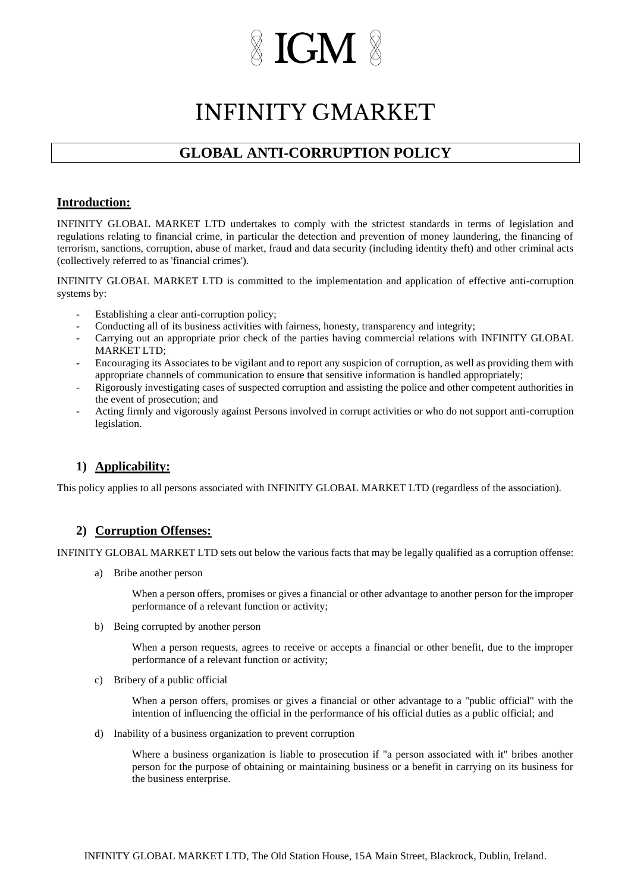## **IGM**

### **INFINITY GMARKET**

### **GLOBAL ANTI-CORRUPTION POLICY**

#### **Introduction:**

INFINITY GLOBAL MARKET LTD undertakes to comply with the strictest standards in terms of legislation and regulations relating to financial crime, in particular the detection and prevention of money laundering, the financing of terrorism, sanctions, corruption, abuse of market, fraud and data security (including identity theft) and other criminal acts (collectively referred to as 'financial crimes').

INFINITY GLOBAL MARKET LTD is committed to the implementation and application of effective anti-corruption systems by:

- Establishing a clear anti-corruption policy;
- Conducting all of its business activities with fairness, honesty, transparency and integrity;
- Carrying out an appropriate prior check of the parties having commercial relations with INFINITY GLOBAL MARKET LTD;
- Encouraging its Associates to be vigilant and to report any suspicion of corruption, as well as providing them with appropriate channels of communication to ensure that sensitive information is handled appropriately;
- Rigorously investigating cases of suspected corruption and assisting the police and other competent authorities in the event of prosecution; and
- Acting firmly and vigorously against Persons involved in corrupt activities or who do not support anti-corruption legislation.

#### **1) Applicability:**

This policy applies to all persons associated with INFINITY GLOBAL MARKET LTD (regardless of the association).

#### **2) Corruption Offenses:**

INFINITY GLOBAL MARKET LTD sets out below the various facts that may be legally qualified as a corruption offense:

a) Bribe another person

When a person offers, promises or gives a financial or other advantage to another person for the improper performance of a relevant function or activity;

b) Being corrupted by another person

When a person requests, agrees to receive or accepts a financial or other benefit, due to the improper performance of a relevant function or activity;

c) Bribery of a public official

When a person offers, promises or gives a financial or other advantage to a "public official" with the intention of influencing the official in the performance of his official duties as a public official; and

d) Inability of a business organization to prevent corruption

Where a business organization is liable to prosecution if "a person associated with it" bribes another person for the purpose of obtaining or maintaining business or a benefit in carrying on its business for the business enterprise.